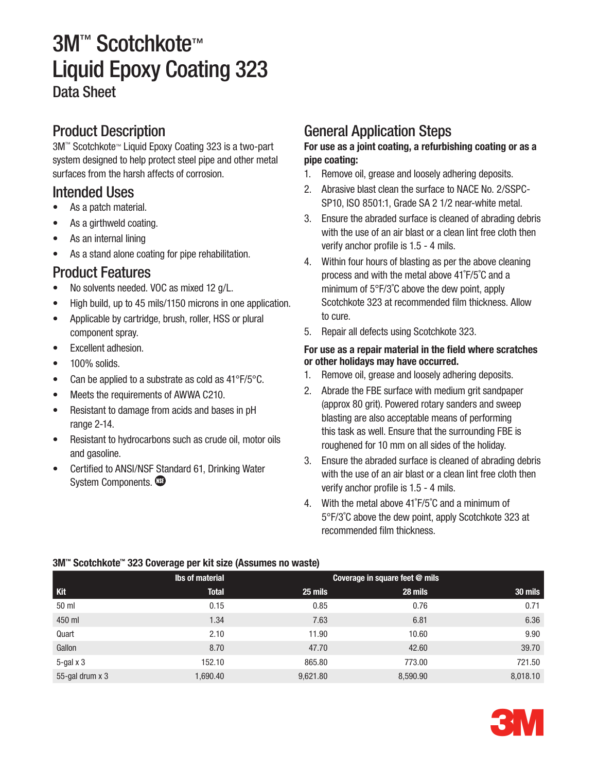# 3M™ Scotchkote™ Liquid Epoxy Coating 323 Data Sheet

## Product Description

3M™ Scotchkote™ Liquid Epoxy Coating 323 is a two-part system designed to help protect steel pipe and other metal surfaces from the harsh affects of corrosion.

### Intended Uses

- As a patch material.
- As a girthweld coating.
- As an internal lining
- As a stand alone coating for pipe rehabilitation.

### Product Features

- No solvents needed. VOC as mixed 12 g/L.
- High build, up to 45 mils/1150 microns in one application.
- Applicable by cartridge, brush, roller, HSS or plural component spray.
- • Excellent adhesion.
- $\bullet$  100% solids.
- Can be applied to a substrate as cold as  $41^{\circ}F/5^{\circ}C$ .
- Meets the requirements of AWWA C210.
- Resistant to damage from acids and bases in pH range 2-14.
- Resistant to hydrocarbons such as crude oil, motor oils and gasoline.
- Certified to ANSI/NSF Standard 61, Drinking Water System Components.

## General Application Steps

#### For use as a joint coating, a refurbishing coating or as a pipe coating:

- 1. Remove oil, grease and loosely adhering deposits.
- 2. Abrasive blast clean the surface to NACE No. 2/SSPC-SP10, ISO 8501:1, Grade SA 2 1/2 near-white metal.
- 3. Ensure the abraded surface is cleaned of abrading debris with the use of an air blast or a clean lint free cloth then verify anchor profile is 1.5 - 4 mils.
- 4. Within four hours of blasting as per the above cleaning process and with the metal above 41˚F/5˚C and a minimum of 5°F/3˚C above the dew point, apply Scotchkote 323 at recommended film thickness. Allow to cure.
- 5. Repair all defects using Scotchkote 323.

#### For use as a repair material in the field where scratches or other holidays may have occurred.

- 1. Remove oil, grease and loosely adhering deposits.
- 2. Abrade the FBE surface with medium grit sandpaper (approx 80 grit). Powered rotary sanders and sweep blasting are also acceptable means of performing this task as well. Ensure that the surrounding FBE is roughened for 10 mm on all sides of the holiday.
- 3. Ensure the abraded surface is cleaned of abrading debris with the use of an air blast or a clean lint free cloth then verify anchor profile is 1.5 - 4 mils.
- 4. With the metal above 41˚F/5˚C and a minimum of 5°F/3˚C above the dew point, apply Scotchkote 323 at recommended film thickness.

#### Kit lbs of material Coverage in square feet @ mils Total 25 mils 28 mils 30 mils 50 ml 0.15 0.85 0.76 0.71 450 ml 1.34 7.63 6.81 6.36 Quart 2.10 11.90 10.60 9.90 Gallon 8.70 47.70 42.60 39.70 5-gal x 3 152.10 152.10 865.80 773.00 721.50 55-gal drum x 3 1,690.40 1,690.40 9,621.80 8,590.90 8,590.90 8,018.10

#### 3M™ Scotchkote™ 323 Coverage per kit size (Assumes no waste)

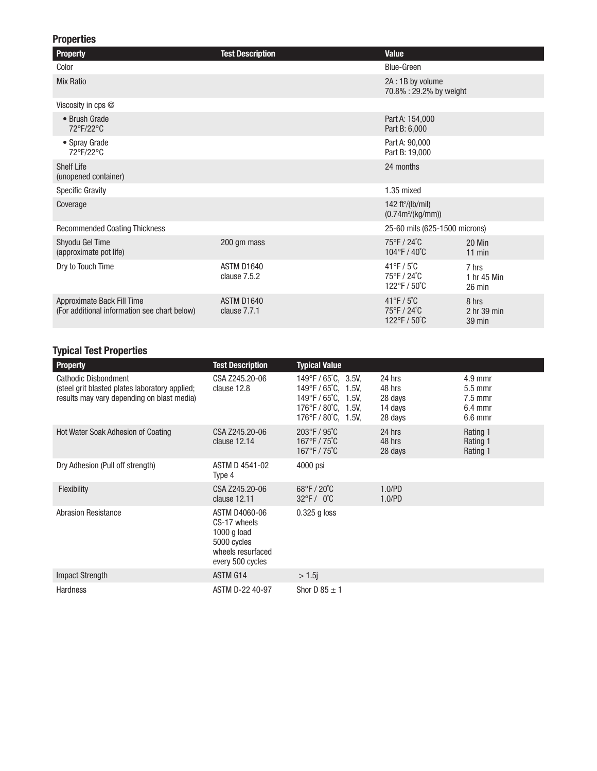#### Properties

| <b>Property</b>                                                            | <b>Test Description</b>    | <b>Value</b>                                                                        |                                          |
|----------------------------------------------------------------------------|----------------------------|-------------------------------------------------------------------------------------|------------------------------------------|
| Color                                                                      |                            | <b>Blue-Green</b>                                                                   |                                          |
| <b>Mix Ratio</b>                                                           |                            | 2A: 1B by volume<br>70.8%: 29.2% by weight                                          |                                          |
| Viscosity in cps @                                                         |                            |                                                                                     |                                          |
| • Brush Grade<br>72°F/22°C                                                 |                            | Part A: 154,000<br>Part B: 6,000                                                    |                                          |
| • Spray Grade<br>72°F/22°C                                                 |                            | Part A: 90,000<br>Part B: 19,000                                                    |                                          |
| <b>Shelf Life</b><br>(unopened container)                                  |                            | 24 months                                                                           |                                          |
| <b>Specific Gravity</b>                                                    |                            | 1.35 mixed                                                                          |                                          |
| Coverage                                                                   |                            | 142 ft <sup>2</sup> /(lb/mil)<br>$(0.74m^{2}/(kg/mm))$                              |                                          |
| <b>Recommended Coating Thickness</b>                                       |                            | 25-60 mils (625-1500 microns)                                                       |                                          |
| Shyodu Gel Time<br>(approximate pot life)                                  | 200 gm mass                | 75°F/24°C<br>$104^{\circ}$ F / $40^{\circ}$ C                                       | 20 Min<br>$11$ min                       |
| Dry to Touch Time                                                          | ASTM D1640<br>clause 7.5.2 | $41^{\circ}$ F / 5 $^{\circ}$ C<br>75°F / 24°C<br>$122^{\circ}$ F / 50 $^{\circ}$ C | 7 hrs<br>1 hr 45 Min<br>$26 \text{ min}$ |
| Approximate Back Fill Time<br>(For additional information see chart below) | ASTM D1640<br>clause 7.7.1 | $41^{\circ}$ F / 5 $^{\circ}$ C<br>75°F / 24°C<br>$122^{\circ}$ F / 50 $^{\circ}$ C | 8 hrs<br>2 hr 39 min<br>39 min           |

#### Typical Test Properties

| <b>Property</b>                                                                                                      | <b>Test Description</b>                                                                                       | <b>Typical Value</b>                                                                                                                                                         |                                                   |                                                               |
|----------------------------------------------------------------------------------------------------------------------|---------------------------------------------------------------------------------------------------------------|------------------------------------------------------------------------------------------------------------------------------------------------------------------------------|---------------------------------------------------|---------------------------------------------------------------|
| Cathodic Disbondment<br>(steel grit blasted plates laboratory applied;<br>results may vary depending on blast media) | CSA Z245.20-06<br>clause 12.8                                                                                 | 149°F / 65°C, 3.5V,<br>149°F/65°C, 1.5V,<br>$149^{\circ}$ F / 65 $^{\circ}$ C, 1.5V,<br>$176^{\circ}$ F / 80 $^{\circ}$ C, 1.5V,<br>$176^{\circ}$ F / 80 $^{\circ}$ C, 1.5V, | 24 hrs<br>48 hrs<br>28 days<br>14 days<br>28 days | $4.9$ mmr<br>$5.5$ mmr<br>$7.5$ mmr<br>$6.4$ mmr<br>$6.6$ mmr |
| Hot Water Soak Adhesion of Coating                                                                                   | CSA Z245.20-06<br>clause 12.14                                                                                | $203^{\circ}$ F / $95^{\circ}$ C<br>$167^{\circ}$ F / 75 $^{\circ}$ C<br>$167^{\circ}$ F / 75 $^{\circ}$ C                                                                   | 24 hrs<br>48 hrs<br>28 days                       | Rating 1<br>Rating 1<br>Rating 1                              |
| Dry Adhesion (Pull off strength)                                                                                     | ASTM D 4541-02<br>Type 4                                                                                      | 4000 psi                                                                                                                                                                     |                                                   |                                                               |
| Flexibility                                                                                                          | CSA Z245.20-06<br>clause 12.11                                                                                | $68^{\circ}$ F / 20 $^{\circ}$ C<br>$32^{\circ}$ F / 0 $^{\circ}$ C                                                                                                          | 1.0/PD<br>1.0/PD                                  |                                                               |
| <b>Abrasion Resistance</b>                                                                                           | <b>ASTM D4060-06</b><br>CS-17 wheels<br>$1000$ g load<br>5000 cycles<br>wheels resurfaced<br>every 500 cycles | $0.325$ g loss                                                                                                                                                               |                                                   |                                                               |
| <b>Impact Strength</b>                                                                                               | ASTM G14                                                                                                      | $> 1.5$ j                                                                                                                                                                    |                                                   |                                                               |
| <b>Hardness</b>                                                                                                      | ASTM D-22 40-97                                                                                               | Shor D $85 \pm 1$                                                                                                                                                            |                                                   |                                                               |